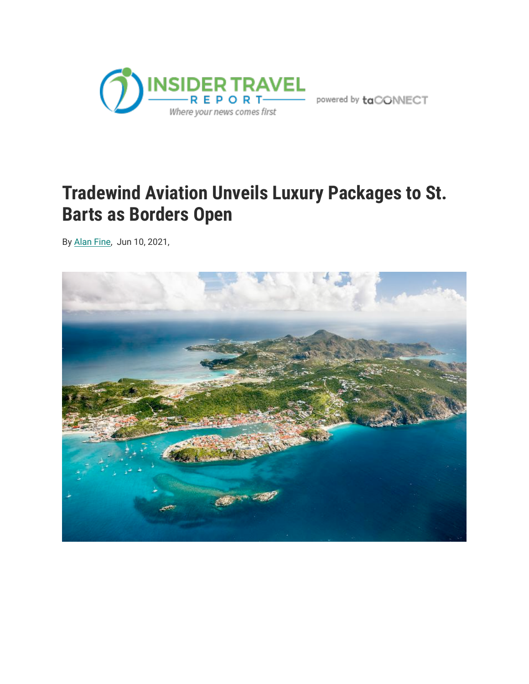

powered by  $\mathsf{taCONNECT}$ 

## **Tradewind Aviation Unveils Luxury Packages to St. Barts as Borders Open**

By [Alan Fine](https://www.insidertravelreport.com/editor/alan-fine), Jun 10, 2021,

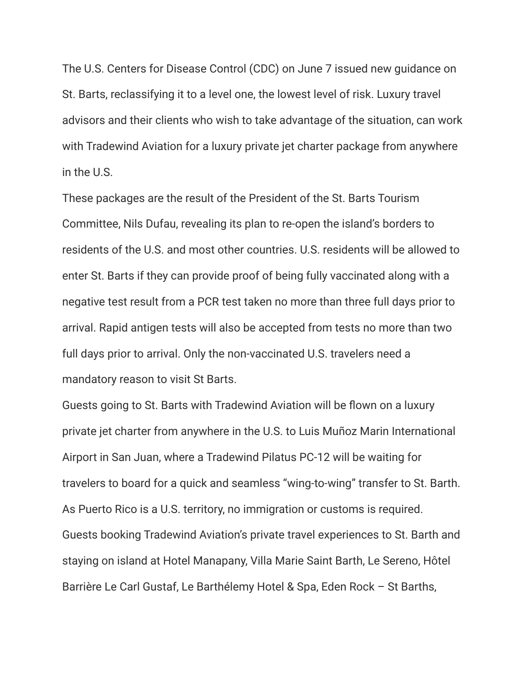The U.S. Centers for Disease Control (CDC) on June 7 issued new guidance on St. Barts, reclassifying it to a level one, the lowest level of risk. Luxury travel advisors and their clients who wish to take advantage of the situation, can work with Tradewind Aviation for a luxury private jet charter package from anywhere in the U.S.

These packages are the result of the President of the St. Barts Tourism Committee, Nils Dufau, revealing its plan to re-open the island's borders to residents of the U.S. and most other countries. U.S. residents will be allowed to enter St. Barts if they can provide proof of being fully vaccinated along with a negative test result from a PCR test taken no more than three full days prior to arrival. Rapid antigen tests will also be accepted from tests no more than two full days prior to arrival. Only the non-vaccinated U.S. travelers need a mandatory reason to visit St Barts.

Guests going to St. Barts with Tradewind Aviation will be flown on a luxury private jet charter from anywhere in the U.S. to Luis Muñoz Marin International Airport in San Juan, where a Tradewind Pilatus PC-12 will be waiting for travelers to board for a quick and seamless "wing-to-wing" transfer to St. Barth. As Puerto Rico is a U.S. territory, no immigration or customs is required. Guests booking Tradewind Aviation's private travel experiences to St. Barth and staying on island at Hotel Manapany, Villa Marie Saint Barth, Le Sereno, Hôtel Barrière Le Carl Gustaf, Le Barthélemy Hotel & Spa, Eden Rock – St Barths,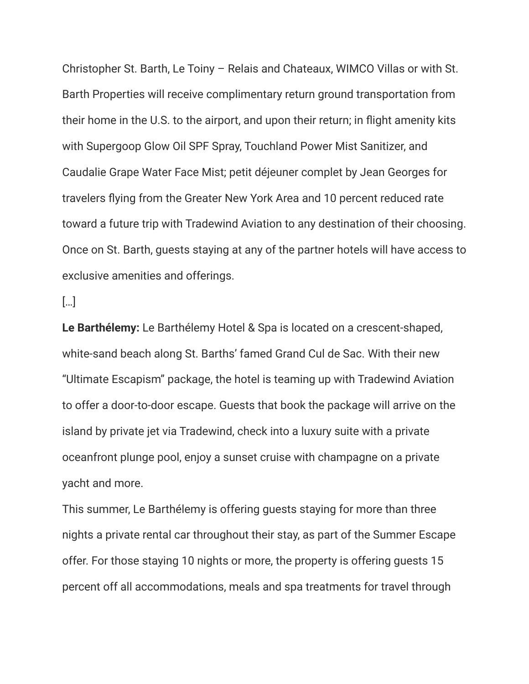Christopher St. Barth, Le Toiny – Relais and Chateaux, WIMCO Villas or with St. Barth Properties will receive complimentary return ground transportation from their home in the U.S. to the airport, and upon their return; in flight amenity kits with Supergoop Glow Oil SPF Spray, Touchland Power Mist Sanitizer, and Caudalie Grape Water Face Mist; petit déjeuner complet by Jean Georges for travelers flying from the Greater New York Area and 10 percent reduced rate toward a future trip with Tradewind Aviation to any destination of their choosing. Once on St. Barth, guests staying at any of the partner hotels will have access to exclusive amenities and offerings.

[…]

**Le Barthélemy:** Le Barthélemy Hotel & Spa is located on a crescent-shaped, white-sand beach along St. Barths' famed Grand Cul de Sac. With their new "Ultimate Escapism" package, the hotel is teaming up with Tradewind Aviation to offer a door-to-door escape. Guests that book the package will arrive on the island by private jet via Tradewind, check into a luxury suite with a private oceanfront plunge pool, enjoy a sunset cruise with champagne on a private yacht and more.

This summer, Le Barthélemy is offering guests staying for more than three nights a private rental car throughout their stay, as part of the Summer Escape offer. For those staying 10 nights or more, the property is offering guests 15 percent off all accommodations, meals and spa treatments for travel through